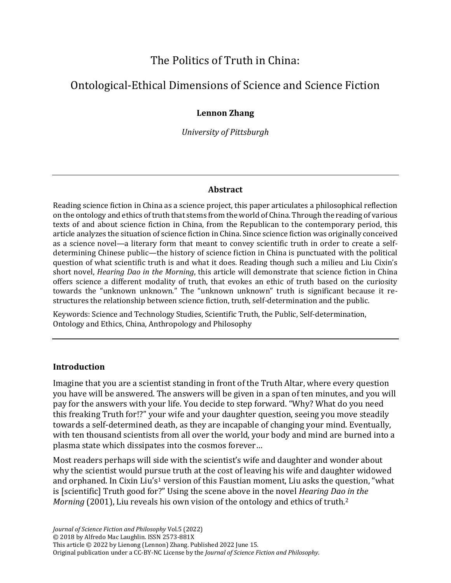# The Politics of Truth in China:

# Ontological-Ethical Dimensions of Science and Science Fiction

## **Lennon Zhang**

*University of Pittsburgh*

### **Abstract**

Reading science fiction in China as a science project, this paper articulates a philosophical reflection on the ontology and ethics of truth that stems from the world of China. Through the reading of various texts of and about science fiction in China, from the Republican to the contemporary period, this article analyzes the situation of science fiction in China. Since science fiction was originally conceived as a science novel—a literary form that meant to convey scientific truth in order to create a selfdetermining Chinese public—the history of science fiction in China is punctuated with the political question of what scientific truth is and what it does. Reading though such a milieu and Liu Cixin's short novel, *Hearing Dao in the Morning*, this article will demonstrate that science fiction in China offers science a different modality of truth, that evokes an ethic of truth based on the curiosity towards the "unknown unknown." The "unknown unknown" truth is significant because it restructures the relationship between science fiction, truth, self-determination and the public.

Keywords: Science and Technology Studies, Scientific Truth, the Public, Self-determination, Ontology and Ethics, China, Anthropology and Philosophy

#### **Introduction**

Imagine that you are a scientist standing in front of the Truth Altar, where every question you have will be answered. The answers will be given in a span of ten minutes, and you will pay for the answers with your life. You decide to step forward. "Why? What do you need this freaking Truth for!?" your wife and your daughter question, seeing you move steadily towards a self-determined death, as they are incapable of changing your mind. Eventually, with ten thousand scientists from all over the world, your body and mind are burned into a plasma state which dissipates into the cosmos forever…

Most readers perhaps will side with the scientist's wife and daughter and wonder about why the scientist would pursue truth at the cost of leaving his wife and daughter widowed and orphaned. In Cixin Liu's<sup>1</sup> version of this Faustian moment, Liu asks the question, "what is [scientific] Truth good for?" Using the scene above in the novel *Hearing Dao in the Morning* (2001), Liu reveals his own vision of the ontology and ethics of truth.<sup>2</sup>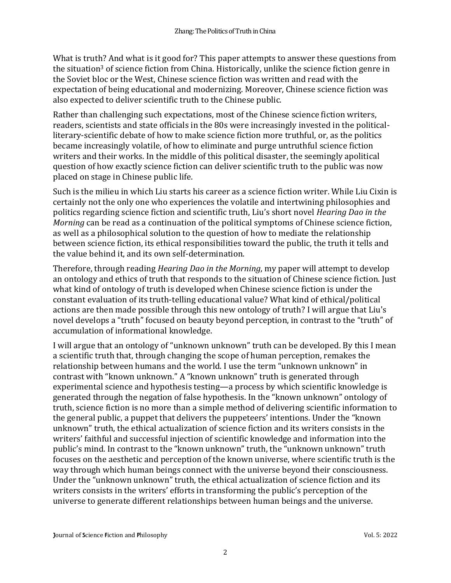What is truth? And what is it good for? This paper attempts to answer these questions from the situation<sup>3</sup> of science fiction from China. Historically, unlike the science fiction genre in the Soviet bloc or the West, Chinese science fiction was written and read with the expectation of being educational and modernizing. Moreover, Chinese science fiction was also expected to deliver scientific truth to the Chinese public.

Rather than challenging such expectations, most of the Chinese science fiction writers, readers, scientists and state officials in the 80s were increasingly invested in the politicalliterary-scientific debate of how to make science fiction more truthful, or, as the politics became increasingly volatile, of how to eliminate and purge untruthful science fiction writers and their works. In the middle of this political disaster, the seemingly apolitical question of how exactly science fiction can deliver scientific truth to the public was now placed on stage in Chinese public life.

Such is the milieu in which Liu starts his career as a science fiction writer. While Liu Cixin is certainly not the only one who experiences the volatile and intertwining philosophies and politics regarding science fiction and scientific truth, Liu's short novel *Hearing Dao in the Morning* can be read as a continuation of the political symptoms of Chinese science fiction, as well as a philosophical solution to the question of how to mediate the relationship between science fiction, its ethical responsibilities toward the public, the truth it tells and the value behind it, and its own self-determination.

Therefore, through reading *Hearing Dao in the Morning*, my paper will attempt to develop an ontology and ethics of truth that responds to the situation of Chinese science fiction. Just what kind of ontology of truth is developed when Chinese science fiction is under the constant evaluation of its truth-telling educational value? What kind of ethical/political actions are then made possible through this new ontology of truth? I will argue that Liu's novel develops a "truth" focused on beauty beyond perception, in contrast to the "truth" of accumulation of informational knowledge.

I will argue that an ontology of "unknown unknown" truth can be developed. By this I mean a scientific truth that, through changing the scope of human perception, remakes the relationship between humans and the world. I use the term "unknown unknown" in contrast with "known unknown." A "known unknown" truth is generated through experimental science and hypothesis testing—a process by which scientific knowledge is generated through the negation of false hypothesis. In the "known unknown" ontology of truth, science fiction is no more than a simple method of delivering scientific information to the general public, a puppet that delivers the puppeteers' intentions. Under the "known unknown" truth, the ethical actualization of science fiction and its writers consists in the writers' faithful and successful injection of scientific knowledge and information into the public's mind. In contrast to the "known unknown" truth, the "unknown unknown" truth focuses on the aesthetic and perception of the known universe, where scientific truth is the way through which human beings connect with the universe beyond their consciousness. Under the "unknown unknown" truth, the ethical actualization of science fiction and its writers consists in the writers' efforts in transforming the public's perception of the universe to generate different relationships between human beings and the universe.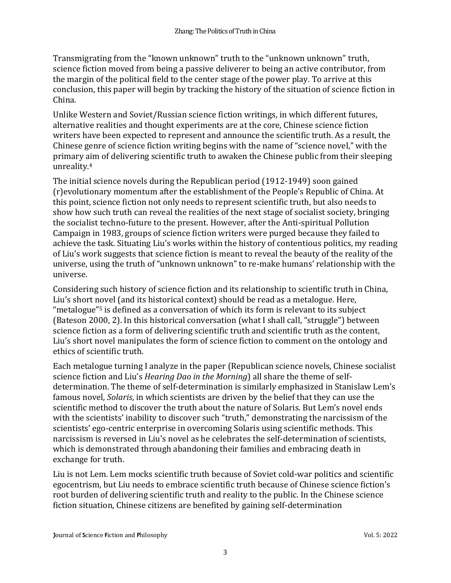Transmigrating from the "known unknown" truth to the "unknown unknown" truth, science fiction moved from being a passive deliverer to being an active contributor, from the margin of the political field to the center stage of the power play. To arrive at this conclusion, this paper will begin by tracking the history of the situation of science fiction in China.

Unlike Western and Soviet/Russian science fiction writings, in which different futures, alternative realities and thought experiments are at the core, Chinese science fiction writers have been expected to represent and announce the scientific truth. As a result, the Chinese genre of science fiction writing begins with the name of "science novel," with the primary aim of delivering scientific truth to awaken the Chinese public from their sleeping unreality.<sup>4</sup>

The initial science novels during the Republican period (1912-1949) soon gained (r)evolutionary momentum after the establishment of the People's Republic of China. At this point, science fiction not only needs to represent scientific truth, but also needs to show how such truth can reveal the realities of the next stage of socialist society, bringing the socialist techno-future to the present. However, after the Anti-spiritual Pollution Campaign in 1983, groups of science fiction writers were purged because they failed to achieve the task. Situating Liu's works within the history of contentious politics, my reading of Liu's work suggests that science fiction is meant to reveal the beauty of the reality of the universe, using the truth of "unknown unknown" to re-make humans' relationship with the universe.

Considering such history of science fiction and its relationship to scientific truth in China, Liu's short novel (and its historical context) should be read as a metalogue. Here, "metalogue"<sup>5</sup> is defined as a conversation of which its form is relevant to its subject (Bateson 2000, 2). In this historical conversation (what I shall call, "struggle") between science fiction as a form of delivering scientific truth and scientific truth as the content, Liu's short novel manipulates the form of science fiction to comment on the ontology and ethics of scientific truth.

Each metalogue turning I analyze in the paper (Republican science novels, Chinese socialist science fiction and Liu's *Hearing Dao in the Morning*) all share the theme of selfdetermination. The theme of self-determination is similarly emphasized in Stanislaw Lem's famous novel, *Solaris*, in which scientists are driven by the belief that they can use the scientific method to discover the truth about the nature of Solaris. But Lem's novel ends with the scientists' inability to discover such "truth," demonstrating the narcissism of the scientists' ego-centric enterprise in overcoming Solaris using scientific methods. This narcissism is reversed in Liu's novel as he celebrates the self-determination of scientists, which is demonstrated through abandoning their families and embracing death in exchange for truth.

Liu is not Lem. Lem mocks scientific truth because of Soviet cold-war politics and scientific egocentrism, but Liu needs to embrace scientific truth because of Chinese science fiction's root burden of delivering scientific truth and reality to the public. In the Chinese science fiction situation, Chinese citizens are benefited by gaining self-determination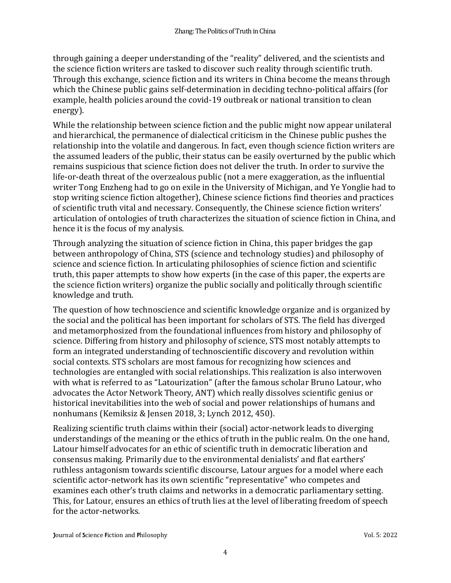through gaining a deeper understanding of the "reality" delivered, and the scientists and the science fiction writers are tasked to discover such reality through scientific truth. Through this exchange, science fiction and its writers in China become the means through which the Chinese public gains self-determination in deciding techno-political affairs (for example, health policies around the covid-19 outbreak or national transition to clean energy).

While the relationship between science fiction and the public might now appear unilateral and hierarchical, the permanence of dialectical criticism in the Chinese public pushes the relationship into the volatile and dangerous. In fact, even though science fiction writers are the assumed leaders of the public, their status can be easily overturned by the public which remains suspicious that science fiction does not deliver the truth. In order to survive the life-or-death threat of the overzealous public (not a mere exaggeration, as the influential writer Tong Enzheng had to go on exile in the University of Michigan, and Ye Yonglie had to stop writing science fiction altogether), Chinese science fictions find theories and practices of scientific truth vital and necessary. Consequently, the Chinese science fiction writers' articulation of ontologies of truth characterizes the situation of science fiction in China, and hence it is the focus of my analysis.

Through analyzing the situation of science fiction in China, this paper bridges the gap between anthropology of China, STS (science and technology studies) and philosophy of science and science fiction. In articulating philosophies of science fiction and scientific truth, this paper attempts to show how experts (in the case of this paper, the experts are the science fiction writers) organize the public socially and politically through scientific knowledge and truth.

The question of how technoscience and scientific knowledge organize and is organized by the social and the political has been important for scholars of STS. The field has diverged and metamorphosized from the foundational influences from history and philosophy of science. Differing from history and philosophy of science, STS most notably attempts to form an integrated understanding of technoscientific discovery and revolution within social contexts. STS scholars are most famous for recognizing how sciences and technologies are entangled with social relationships. This realization is also interwoven with what is referred to as "Latourization" (after the famous scholar Bruno Latour, who advocates the Actor Network Theory, ANT) which really dissolves scientific genius or historical inevitabilities into the web of social and power relationships of humans and nonhumans (Kemiksiz & Jensen 2018, 3; Lynch 2012, 450).

Realizing scientific truth claims within their (social) actor-network leads to diverging understandings of the meaning or the ethics of truth in the public realm. On the one hand, Latour himself advocates for an ethic of scientific truth in democratic liberation and consensus making. Primarily due to the environmental denialists' and flat earthers' ruthless antagonism towards scientific discourse, Latour argues for a model where each scientific actor-network has its own scientific "representative" who competes and examines each other's truth claims and networks in a democratic parliamentary setting. This, for Latour, ensures an ethics of truth lies at the level of liberating freedom of speech for the actor-networks.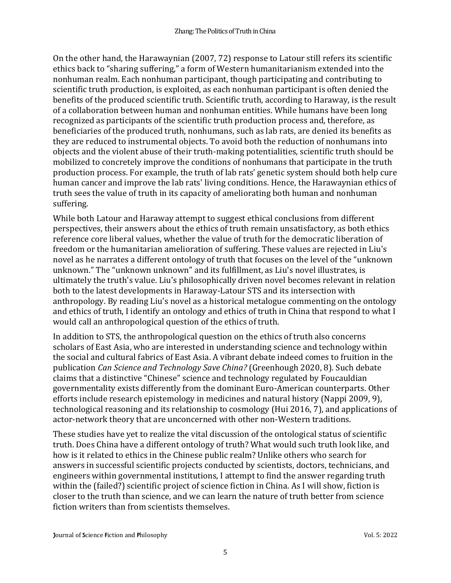On the other hand, the Harawaynian (2007, 72) response to Latour still refers its scientific ethics back to "sharing suffering," a form of Western humanitarianism extended into the nonhuman realm. Each nonhuman participant, though participating and contributing to scientific truth production, is exploited, as each nonhuman participant is often denied the benefits of the produced scientific truth. Scientific truth, according to Haraway, is the result of a collaboration between human and nonhuman entities. While humans have been long recognized as participants of the scientific truth production process and, therefore, as beneficiaries of the produced truth, nonhumans, such as lab rats, are denied its benefits as they are reduced to instrumental objects. To avoid both the reduction of nonhumans into objects and the violent abuse of their truth-making potentialities, scientific truth should be mobilized to concretely improve the conditions of nonhumans that participate in the truth production process. For example, the truth of lab rats' genetic system should both help cure human cancer and improve the lab rats' living conditions. Hence, the Harawaynian ethics of truth sees the value of truth in its capacity of ameliorating both human and nonhuman suffering.

While both Latour and Haraway attempt to suggest ethical conclusions from different perspectives, their answers about the ethics of truth remain unsatisfactory, as both ethics reference core liberal values, whether the value of truth for the democratic liberation of freedom or the humanitarian amelioration of suffering. These values are rejected in Liu's novel as he narrates a different ontology of truth that focuses on the level of the "unknown unknown." The "unknown unknown" and its fulfillment, as Liu's novel illustrates, is ultimately the truth's value. Liu's philosophically driven novel becomes relevant in relation both to the latest developments in Haraway-Latour STS and its intersection with anthropology. By reading Liu's novel as a historical metalogue commenting on the ontology and ethics of truth, I identify an ontology and ethics of truth in China that respond to what I would call an anthropological question of the ethics of truth.

In addition to STS, the anthropological question on the ethics of truth also concerns scholars of East Asia, who are interested in understanding science and technology within the social and cultural fabrics of East Asia. A vibrant debate indeed comes to fruition in the publication *Can Science and Technology Save China?* (Greenhough 2020, 8). Such debate claims that a distinctive "Chinese" science and technology regulated by Foucauldian governmentality exists differently from the dominant Euro-American counterparts. Other efforts include research epistemology in medicines and natural history (Nappi 2009, 9), technological reasoning and its relationship to cosmology (Hui 2016, 7), and applications of actor-network theory that are unconcerned with other non-Western traditions.

These studies have yet to realize the vital discussion of the ontological status of scientific truth. Does China have a different ontology of truth? What would such truth look like, and how is it related to ethics in the Chinese public realm? Unlike others who search for answers in successful scientific projects conducted by scientists, doctors, technicians, and engineers within governmental institutions, I attempt to find the answer regarding truth within the (failed?) scientific project of science fiction in China. As I will show, fiction is closer to the truth than science, and we can learn the nature of truth better from science fiction writers than from scientists themselves.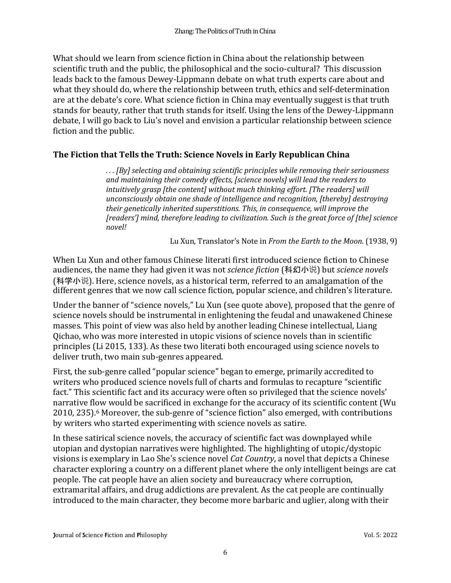What should we learn from science fiction in China about the relationship between scientific truth and the public, the philosophical and the socio-cultural? This discussion leads back to the famous Dewey-Lippmann debate on what truth experts care about and what they should do, where the relationship between truth, ethics and self-determination are at the debate's core. What science fiction in China may eventually suggest is that truth stands for beauty, rather that truth stands for itself. Using the lens of the Dewey-Lippmann debate, I will go back to Liu's novel and envision a particular relationship between science fiction and the public.

# **The Fiction that Tells the Truth: Science Novels in Early Republican China**

*. . . [By] selecting and obtaining scientific principles while removing their seriousness and maintaining their comedy effects, [science novels] will lead the readers to intuitively grasp [the content] without much thinking effort. [The readers] will unconsciously obtain one shade of intelligence and recognition, [thereby] destroying their genetically inherited superstitions. This, in consequence, will improve the [readers'] mind, therefore leading to civilization. Such is the great force of [the] science novel!*

Lu Xun, Translator's Note in *From the Earth to the Moon.* (1938, 9)

When Lu Xun and other famous Chinese literati first introduced science fiction to Chinese audiences, the name they had given it was not *science fiction* (科幻小说) but *science novels* (科学小说). Here, science novels, as a historical term, referred to an amalgamation of the different genres that we now call science fiction, popular science, and children's literature.

Under the banner of "science novels," Lu Xun (see quote above), proposed that the genre of science novels should be instrumental in enlightening the feudal and unawakened Chinese masses. This point of view was also held by another leading Chinese intellectual, Liang Qichao, who was more interested in utopic visions of science novels than in scientific principles (Li 2015, 133). As these two literati both encouraged using science novels to deliver truth, two main sub-genres appeared.

First, the sub-genre called "popular science" began to emerge, primarily accredited to writers who produced science novels full of charts and formulas to recapture "scientific fact." This scientific fact and its accuracy were often so privileged that the science novels' narrative flow would be sacrificed in exchange for the accuracy of its scientific content (Wu 2010, 235).<sup>6</sup> Moreover, the sub-genre of "science fiction" also emerged, with contributions by writers who started experimenting with science novels as satire.

In these satirical science novels, the accuracy of scientific fact was downplayed while utopian and dystopian narratives were highlighted. The highlighting of utopic/dystopic visions is exemplary in Lao She's science novel *Cat Country*, a novel that depicts a Chinese character exploring a country on a different planet where the only intelligent beings are cat people. The cat people have an alien society and bureaucracy where corruption, extramarital affairs, and drug addictions are prevalent. As the cat people are continually introduced to the main character, they become more barbaric and uglier, along with their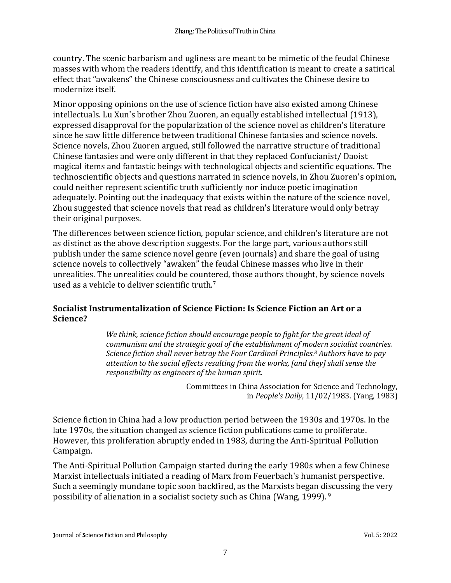country. The scenic barbarism and ugliness are meant to be mimetic of the feudal Chinese masses with whom the readers identify, and this identification is meant to create a satirical effect that "awakens" the Chinese consciousness and cultivates the Chinese desire to modernize itself.

Minor opposing opinions on the use of science fiction have also existed among Chinese intellectuals. Lu Xun's brother Zhou Zuoren, an equally established intellectual (1913), expressed disapproval for the popularization of the science novel as children's literature since he saw little difference between traditional Chinese fantasies and science novels. Science novels, Zhou Zuoren argued, still followed the narrative structure of traditional Chinese fantasies and were only different in that they replaced Confucianist/ Daoist magical items and fantastic beings with technological objects and scientific equations. The technoscientific objects and questions narrated in science novels, in Zhou Zuoren's opinion, could neither represent scientific truth sufficiently nor induce poetic imagination adequately. Pointing out the inadequacy that exists within the nature of the science novel, Zhou suggested that science novels that read as children's literature would only betray their original purposes.

The differences between science fiction, popular science, and children's literature are not as distinct as the above description suggests. For the large part, various authors still publish under the same science novel genre (even journals) and share the goal of using science novels to collectively "awaken" the feudal Chinese masses who live in their unrealities. The unrealities could be countered, those authors thought, by science novels used as a vehicle to deliver scientific truth.<sup>7</sup>

### **Socialist Instrumentalization of Science Fiction: Is Science Fiction an Art or a Science?**

*We think, science fiction should encourage people to fight for the great ideal of communism and the strategic goal of the establishment of modern socialist countries. Science fiction shall never betray the Four Cardinal Principles. <sup>8</sup> Authors have to pay attention to the social effects resulting from the works, [and they] shall sense the responsibility as engineers of the human spirit.*

> Committees in China Association for Science and Technology, in *People's Daily*, 11/02/1983. (Yang, 1983)

Science fiction in China had a low production period between the 1930s and 1970s. In the late 1970s, the situation changed as science fiction publications came to proliferate. However, this proliferation abruptly ended in 1983, during the Anti-Spiritual Pollution Campaign.

The Anti-Spiritual Pollution Campaign started during the early 1980s when a few Chinese Marxist intellectuals initiated a reading of Marx from Feuerbach's humanist perspective. Such a seemingly mundane topic soon backfired, as the Marxists began discussing the very possibility of alienation in a socialist society such as China (Wang, 1999). 9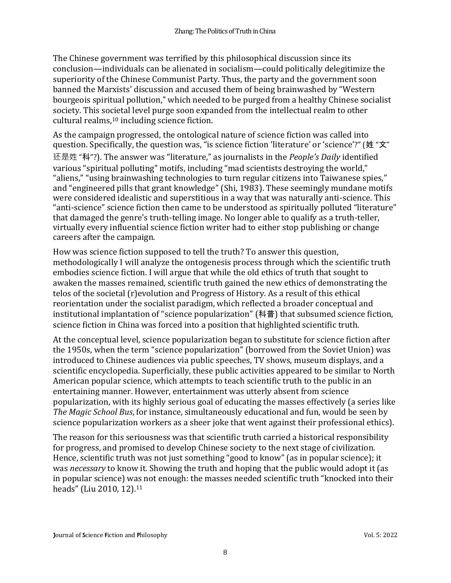The Chinese government was terrified by this philosophical discussion since its conclusion—individuals can be alienated in socialism—could politically delegitimize the superiority of the Chinese Communist Party. Thus, the party and the government soon banned the Marxists' discussion and accused them of being brainwashed by "Western bourgeois spiritual pollution," which needed to be purged from a healthy Chinese socialist society. This societal level purge soon expanded from the intellectual realm to other cultural realms,<sup>10</sup> including science fiction.

As the campaign progressed, the ontological nature of science fiction was called into question. Specifically, the question was, "is science fiction 'literature' or 'science'?" (姓 "文" 还是姓 "科"?). The answer was "literature," as journalists in the *People's Daily* identified various "spiritual polluting" motifs, including "mad scientists destroying the world," "aliens," "using brainwashing technologies to turn regular citizens into Taiwanese spies," and "engineered pills that grant knowledge" (Shi, 1983). These seemingly mundane motifs were considered idealistic and superstitious in a way that was naturally anti-science. This "anti-science" science fiction then came to be understood as spiritually polluted "literature" that damaged the genre's truth-telling image. No longer able to qualify as a truth-teller, virtually every influential science fiction writer had to either stop publishing or change careers after the campaign.

How was science fiction supposed to tell the truth? To answer this question, methodologically I will analyze the ontogenesis process through which the scientific truth embodies science fiction. I will argue that while the old ethics of truth that sought to awaken the masses remained, scientific truth gained the new ethics of demonstrating the telos of the societal (r)evolution and Progress of History. As a result of this ethical reorientation under the socialist paradigm, which reflected a broader conceptual and institutional implantation of "science popularization" (科普) that subsumed science fiction, science fiction in China was forced into a position that highlighted scientific truth.

At the conceptual level, science popularization began to substitute for science fiction after the 1950s, when the term "science popularization" (borrowed from the Soviet Union) was introduced to Chinese audiences via public speeches, TV shows, museum displays, and a scientific encyclopedia. Superficially, these public activities appeared to be similar to North American popular science, which attempts to teach scientific truth to the public in an entertaining manner. However, entertainment was utterly absent from science popularization, with its highly serious goal of educating the masses effectively (a series like *The Magic School Bus*, for instance, simultaneously educational and fun, would be seen by science popularization workers as a sheer joke that went against their professional ethics).

The reason for this seriousness was that scientific truth carried a historical responsibility for progress, and promised to develop Chinese society to the next stage of civilization. Hence, scientific truth was not just something "good to know" (as in popular science); it was *necessary* to know it. Showing the truth and hoping that the public would adopt it (as in popular science) was not enough: the masses needed scientific truth "knocked into their heads" (Liu 2010, 12).<sup>11</sup>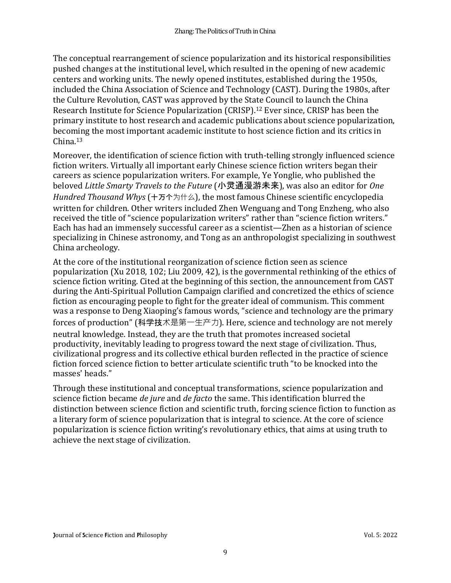The conceptual rearrangement of science popularization and its historical responsibilities pushed changes at the institutional level, which resulted in the opening of new academic centers and working units. The newly opened institutes, established during the 1950s, included the China Association of Science and Technology (CAST). During the 1980s, after the Culture Revolution, CAST was approved by the State Council to launch the China Research Institute for Science Popularization (CRISP).<sup>12</sup> Ever since, CRISP has been the primary institute to host research and academic publications about science popularization, becoming the most important academic institute to host science fiction and its critics in China.<sup>13</sup>

Moreover, the identification of science fiction with truth-telling strongly influenced science fiction writers. Virtually all important early Chinese science fiction writers began their careers as science popularization writers. For example, Ye Yonglie, who published the beloved *Little Smarty Travels to the Future* (小灵通漫游未来), was also an editor for *One Hundred Thousand Whys* (十万个为什么), the most famous Chinese scientific encyclopedia written for children. Other writers included Zhen Wenguang and Tong Enzheng, who also received the title of "science popularization writers" rather than "science fiction writers." Each has had an immensely successful career as a scientist—Zhen as a historian of science specializing in Chinese astronomy, and Tong as an anthropologist specializing in southwest China archeology.

At the core of the institutional reorganization of science fiction seen as science popularization (Xu 2018, 102; Liu 2009, 42), is the governmental rethinking of the ethics of science fiction writing. Cited at the beginning of this section, the announcement from CAST during the Anti-Spiritual Pollution Campaign clarified and concretized the ethics of science fiction as encouraging people to fight for the greater ideal of communism. This comment was a response to Deng Xiaoping's famous words, "science and technology are the primary forces of production" (科学技术是第一生产力). Here, science and technology are not merely neutral knowledge. Instead, they are the truth that promotes increased societal productivity, inevitably leading to progress toward the next stage of civilization. Thus, civilizational progress and its collective ethical burden reflected in the practice of science fiction forced science fiction to better articulate scientific truth "to be knocked into the masses' heads."

Through these institutional and conceptual transformations, science popularization and science fiction became *de jure* and *de facto* the same. This identification blurred the distinction between science fiction and scientific truth, forcing science fiction to function as a literary form of science popularization that is integral to science. At the core of science popularization is science fiction writing's revolutionary ethics, that aims at using truth to achieve the next stage of civilization.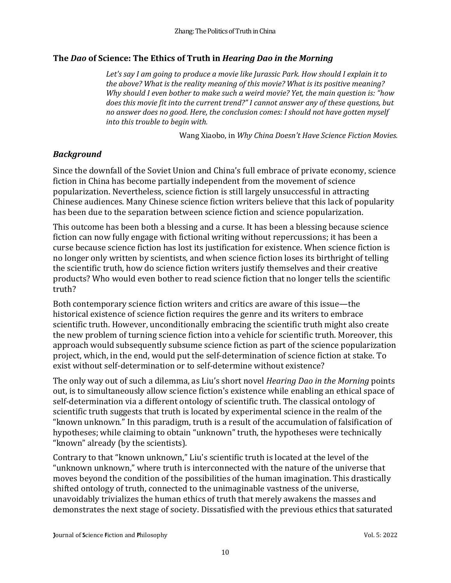## **The** *Dao* **of Science: The Ethics of Truth in** *Hearing Dao in the Morning*

*Let's say I am going to produce a movie like Jurassic Park. How should I explain it to the above? What is the reality meaning of this movie? What is its positive meaning? Why should I even bother to make such a weird movie? Yet, the main question is: "how does this movie fit into the current trend?" I cannot answer any of these questions, but no answer does no good. Here, the conclusion comes: I should not have gotten myself into this trouble to begin with.*

Wang Xiaobo, in *Why China Doesn't Have Science Fiction Movies.*

# *Background*

Since the downfall of the Soviet Union and China's full embrace of private economy, science fiction in China has become partially independent from the movement of science popularization. Nevertheless, science fiction is still largely unsuccessful in attracting Chinese audiences. Many Chinese science fiction writers believe that this lack of popularity has been due to the separation between science fiction and science popularization.

This outcome has been both a blessing and a curse. It has been a blessing because science fiction can now fully engage with fictional writing without repercussions; it has been a curse because science fiction has lost its justification for existence. When science fiction is no longer only written by scientists, and when science fiction loses its birthright of telling the scientific truth, how do science fiction writers justify themselves and their creative products? Who would even bother to read science fiction that no longer tells the scientific truth?

Both contemporary science fiction writers and critics are aware of this issue—the historical existence of science fiction requires the genre and its writers to embrace scientific truth. However, unconditionally embracing the scientific truth might also create the new problem of turning science fiction into a vehicle for scientific truth. Moreover, this approach would subsequently subsume science fiction as part of the science popularization project, which, in the end, would put the self-determination of science fiction at stake. To exist without self-determination or to self-determine without existence?

The only way out of such a dilemma, as Liu's short novel *Hearing Dao in the Morning* points out, is to simultaneously allow science fiction's existence while enabling an ethical space of self-determination via a different ontology of scientific truth. The classical ontology of scientific truth suggests that truth is located by experimental science in the realm of the "known unknown." In this paradigm, truth is a result of the accumulation of falsification of hypotheses; while claiming to obtain "unknown" truth, the hypotheses were technically "known" already (by the scientists).

Contrary to that "known unknown," Liu's scientific truth is located at the level of the "unknown unknown," where truth is interconnected with the nature of the universe that moves beyond the condition of the possibilities of the human imagination. This drastically shifted ontology of truth, connected to the unimaginable vastness of the universe, unavoidably trivializes the human ethics of truth that merely awakens the masses and demonstrates the next stage of society. Dissatisfied with the previous ethics that saturated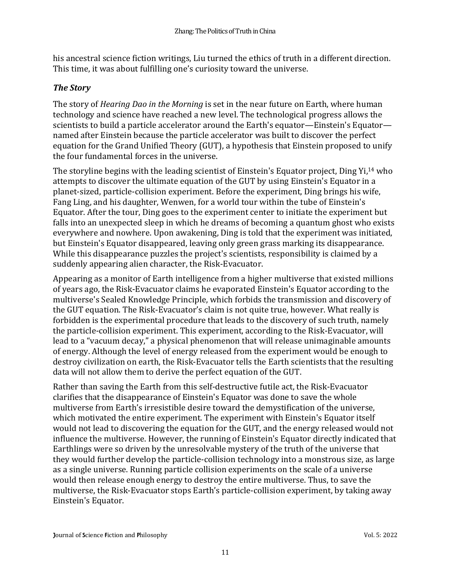his ancestral science fiction writings, Liu turned the ethics of truth in a different direction. This time, it was about fulfilling one's curiosity toward the universe.

# *The Story*

The story of *Hearing Dao in the Morning* is set in the near future on Earth, where human technology and science have reached a new level. The technological progress allows the scientists to build a particle accelerator around the Earth's equator—Einstein's Equator named after Einstein because the particle accelerator was built to discover the perfect equation for the Grand Unified Theory (GUT), a hypothesis that Einstein proposed to unify the four fundamental forces in the universe.

The storyline begins with the leading scientist of Einstein's Equator project, Ding Yi,<sup>14</sup> who attempts to discover the ultimate equation of the GUT by using Einstein's Equator in a planet-sized, particle-collision experiment. Before the experiment, Ding brings his wife, Fang Ling, and his daughter, Wenwen, for a world tour within the tube of Einstein's Equator. After the tour, Ding goes to the experiment center to initiate the experiment but falls into an unexpected sleep in which he dreams of becoming a quantum ghost who exists everywhere and nowhere. Upon awakening, Ding is told that the experiment was initiated, but Einstein's Equator disappeared, leaving only green grass marking its disappearance. While this disappearance puzzles the project's scientists, responsibility is claimed by a suddenly appearing alien character, the Risk-Evacuator.

Appearing as a monitor of Earth intelligence from a higher multiverse that existed millions of years ago, the Risk-Evacuator claims he evaporated Einstein's Equator according to the multiverse's Sealed Knowledge Principle, which forbids the transmission and discovery of the GUT equation. The Risk-Evacuator's claim is not quite true, however. What really is forbidden is the experimental procedure that leads to the discovery of such truth, namely the particle-collision experiment. This experiment, according to the Risk-Evacuator, will lead to a "vacuum decay," a physical phenomenon that will release unimaginable amounts of energy. Although the level of energy released from the experiment would be enough to destroy civilization on earth, the Risk-Evacuator tells the Earth scientists that the resulting data will not allow them to derive the perfect equation of the GUT.

Rather than saving the Earth from this self-destructive futile act, the Risk-Evacuator clarifies that the disappearance of Einstein's Equator was done to save the whole multiverse from Earth's irresistible desire toward the demystification of the universe, which motivated the entire experiment. The experiment with Einstein's Equator itself would not lead to discovering the equation for the GUT, and the energy released would not influence the multiverse. However, the running of Einstein's Equator directly indicated that Earthlings were so driven by the unresolvable mystery of the truth of the universe that they would further develop the particle-collision technology into a monstrous size, as large as a single universe. Running particle collision experiments on the scale of a universe would then release enough energy to destroy the entire multiverse. Thus, to save the multiverse, the Risk-Evacuator stops Earth's particle-collision experiment, by taking away Einstein's Equator.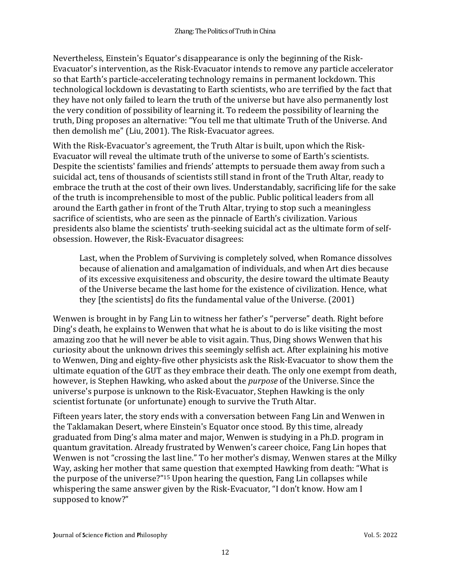Nevertheless, Einstein's Equator's disappearance is only the beginning of the Risk-Evacuator's intervention, as the Risk-Evacuator intends to remove any particle accelerator so that Earth's particle-accelerating technology remains in permanent lockdown. This technological lockdown is devastating to Earth scientists, who are terrified by the fact that they have not only failed to learn the truth of the universe but have also permanently lost the very condition of possibility of learning it. To redeem the possibility of learning the truth, Ding proposes an alternative: "You tell me that ultimate Truth of the Universe. And then demolish me" (Liu, 2001). The Risk-Evacuator agrees.

With the Risk-Evacuator's agreement, the Truth Altar is built, upon which the Risk-Evacuator will reveal the ultimate truth of the universe to some of Earth's scientists. Despite the scientists' families and friends' attempts to persuade them away from such a suicidal act, tens of thousands of scientists still stand in front of the Truth Altar, ready to embrace the truth at the cost of their own lives. Understandably, sacrificing life for the sake of the truth is incomprehensible to most of the public. Public political leaders from all around the Earth gather in front of the Truth Altar, trying to stop such a meaningless sacrifice of scientists, who are seen as the pinnacle of Earth's civilization. Various presidents also blame the scientists' truth-seeking suicidal act as the ultimate form of selfobsession. However, the Risk-Evacuator disagrees:

Last, when the Problem of Surviving is completely solved, when Romance dissolves because of alienation and amalgamation of individuals, and when Art dies because of its excessive exquisiteness and obscurity, the desire toward the ultimate Beauty of the Universe became the last home for the existence of civilization. Hence, what they [the scientists] do fits the fundamental value of the Universe. (2001)

Wenwen is brought in by Fang Lin to witness her father's "perverse" death. Right before Ding's death, he explains to Wenwen that what he is about to do is like visiting the most amazing zoo that he will never be able to visit again. Thus, Ding shows Wenwen that his curiosity about the unknown drives this seemingly selfish act. After explaining his motive to Wenwen, Ding and eighty-five other physicists ask the Risk-Evacuator to show them the ultimate equation of the GUT as they embrace their death. The only one exempt from death, however, is Stephen Hawking, who asked about the *purpose* of the Universe. Since the universe's purpose is unknown to the Risk-Evacuator, Stephen Hawking is the only scientist fortunate (or unfortunate) enough to survive the Truth Altar.

Fifteen years later, the story ends with a conversation between Fang Lin and Wenwen in the Taklamakan Desert, where Einstein's Equator once stood. By this time, already graduated from Ding's alma mater and major, Wenwen is studying in a Ph.D. program in quantum gravitation. Already frustrated by Wenwen's career choice, Fang Lin hopes that Wenwen is not "crossing the last line." To her mother's dismay, Wenwen stares at the Milky Way, asking her mother that same question that exempted Hawking from death: "What is the purpose of the universe?"<sup>15</sup> Upon hearing the question, Fang Lin collapses while whispering the same answer given by the Risk-Evacuator, "I don't know. How am I supposed to know?"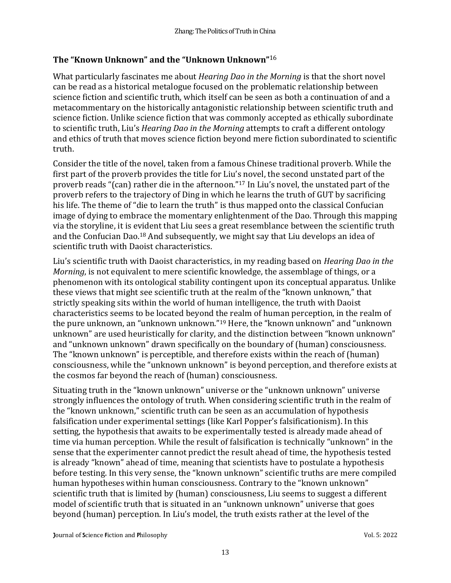# **The "Known Unknown" and the "Unknown Unknown"** 16

What particularly fascinates me about *Hearing Dao in the Morning* is that the short novel can be read as a historical metalogue focused on the problematic relationship between science fiction and scientific truth, which itself can be seen as both a continuation of and a metacommentary on the historically antagonistic relationship between scientific truth and science fiction. Unlike science fiction that was commonly accepted as ethically subordinate to scientific truth, Liu's *Hearing Dao in the Morning* attempts to craft a different ontology and ethics of truth that moves science fiction beyond mere fiction subordinated to scientific truth.

Consider the title of the novel, taken from a famous Chinese traditional proverb. While the first part of the proverb provides the title for Liu's novel, the second unstated part of the proverb reads "(can) rather die in the afternoon."<sup>17</sup> In Liu's novel, the unstated part of the proverb refers to the trajectory of Ding in which he learns the truth of GUT by sacrificing his life. The theme of "die to learn the truth" is thus mapped onto the classical Confucian image of dying to embrace the momentary enlightenment of the Dao. Through this mapping via the storyline, it is evident that Liu sees a great resemblance between the scientific truth and the Confucian Dao.<sup>18</sup> And subsequently, we might say that Liu develops an idea of scientific truth with Daoist characteristics.

Liu's scientific truth with Daoist characteristics, in my reading based on *Hearing Dao in the Morning*, is not equivalent to mere scientific knowledge, the assemblage of things, or a phenomenon with its ontological stability contingent upon its conceptual apparatus. Unlike these views that might see scientific truth at the realm of the "known unknown," that strictly speaking sits within the world of human intelligence, the truth with Daoist characteristics seems to be located beyond the realm of human perception, in the realm of the pure unknown, an "unknown unknown."<sup>19</sup> Here, the "known unknown" and "unknown unknown" are used heuristically for clarity, and the distinction between "known unknown" and "unknown unknown" drawn specifically on the boundary of (human) consciousness. The "known unknown" is perceptible, and therefore exists within the reach of (human) consciousness, while the "unknown unknown" is beyond perception, and therefore exists at the cosmos far beyond the reach of (human) consciousness.

Situating truth in the "known unknown" universe or the "unknown unknown" universe strongly influences the ontology of truth. When considering scientific truth in the realm of the "known unknown," scientific truth can be seen as an accumulation of hypothesis falsification under experimental settings (like Karl Popper's falsificationism). In this setting, the hypothesis that awaits to be experimentally tested is already made ahead of time via human perception. While the result of falsification is technically "unknown" in the sense that the experimenter cannot predict the result ahead of time, the hypothesis tested is already "known" ahead of time, meaning that scientists have to postulate a hypothesis before testing. In this very sense, the "known unknown" scientific truths are mere compiled human hypotheses within human consciousness. Contrary to the "known unknown" scientific truth that is limited by (human) consciousness, Liu seems to suggest a different model of scientific truth that is situated in an "unknown unknown" universe that goes beyond (human) perception. In Liu's model, the truth exists rather at the level of the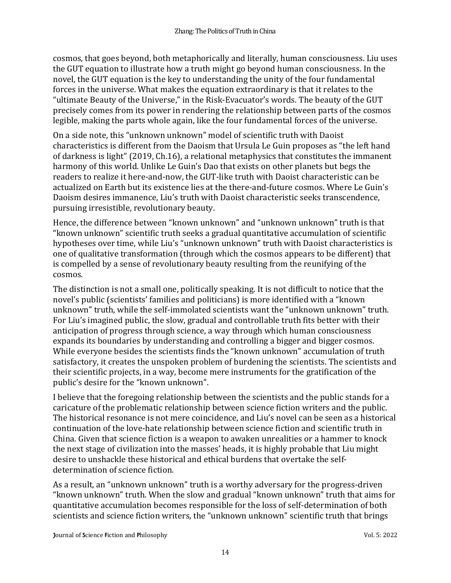cosmos, that goes beyond, both metaphorically and literally, human consciousness. Liu uses the GUT equation to illustrate how a truth might go beyond human consciousness. In the novel, the GUT equation is the key to understanding the unity of the four fundamental forces in the universe. What makes the equation extraordinary is that it relates to the "ultimate Beauty of the Universe," in the Risk-Evacuator's words. The beauty of the GUT precisely comes from its power in rendering the relationship between parts of the cosmos legible, making the parts whole again, like the four fundamental forces of the universe.

On a side note, this "unknown unknown" model of scientific truth with Daoist characteristics is different from the Daoism that Ursula Le Guin proposes as "the left hand of darkness is light" (2019, Ch.16), a relational metaphysics that constitutes the immanent harmony of this world. Unlike Le Guin's Dao that exists on other planets but begs the readers to realize it here-and-now, the GUT-like truth with Daoist characteristic can be actualized on Earth but its existence lies at the there-and-future cosmos. Where Le Guin's Daoism desires immanence, Liu's truth with Daoist characteristic seeks transcendence, pursuing irresistible, revolutionary beauty.

Hence, the difference between "known unknown" and "unknown unknown" truth is that "known unknown" scientific truth seeks a gradual quantitative accumulation of scientific hypotheses over time, while Liu's "unknown unknown" truth with Daoist characteristics is one of qualitative transformation (through which the cosmos appears to be different) that is compelled by a sense of revolutionary beauty resulting from the reunifying of the cosmos.

The distinction is not a small one, politically speaking. It is not difficult to notice that the novel's public (scientists' families and politicians) is more identified with a "known unknown" truth, while the self-immolated scientists want the "unknown unknown" truth. For Liu's imagined public, the slow, gradual and controllable truth fits better with their anticipation of progress through science, a way through which human consciousness expands its boundaries by understanding and controlling a bigger and bigger cosmos. While everyone besides the scientists finds the "known unknown" accumulation of truth satisfactory, it creates the unspoken problem of burdening the scientists. The scientists and their scientific projects, in a way, become mere instruments for the gratification of the public's desire for the "known unknown".

I believe that the foregoing relationship between the scientists and the public stands for a caricature of the problematic relationship between science fiction writers and the public. The historical resonance is not mere coincidence, and Liu's novel can be seen as a historical continuation of the love-hate relationship between science fiction and scientific truth in China. Given that science fiction is a weapon to awaken unrealities or a hammer to knock the next stage of civilization into the masses' heads, it is highly probable that Liu might desire to unshackle these historical and ethical burdens that overtake the selfdetermination of science fiction.

As a result, an "unknown unknown" truth is a worthy adversary for the progress-driven "known unknown" truth. When the slow and gradual "known unknown" truth that aims for quantitative accumulation becomes responsible for the loss of self-determination of both scientists and science fiction writers, the "unknown unknown" scientific truth that brings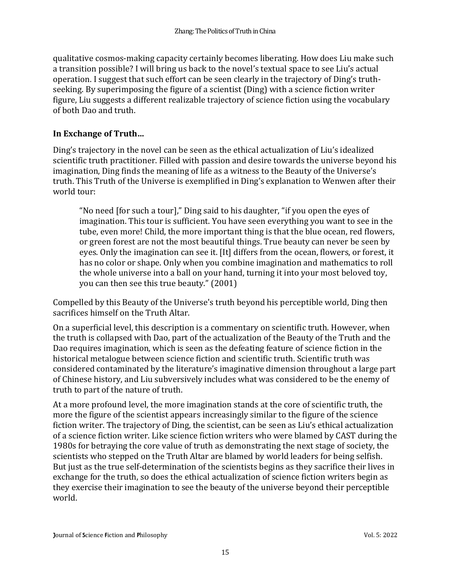qualitative cosmos-making capacity certainly becomes liberating. How does Liu make such a transition possible? I will bring us back to the novel's textual space to see Liu's actual operation. I suggest that such effort can be seen clearly in the trajectory of Ding's truthseeking. By superimposing the figure of a scientist (Ding) with a science fiction writer figure, Liu suggests a different realizable trajectory of science fiction using the vocabulary of both Dao and truth.

### **In Exchange of Truth…**

Ding's trajectory in the novel can be seen as the ethical actualization of Liu's idealized scientific truth practitioner. Filled with passion and desire towards the universe beyond his imagination, Ding finds the meaning of life as a witness to the Beauty of the Universe's truth. This Truth of the Universe is exemplified in Ding's explanation to Wenwen after their world tour:

"No need [for such a tour]," Ding said to his daughter, "if you open the eyes of imagination. This tour is sufficient. You have seen everything you want to see in the tube, even more! Child, the more important thing is that the blue ocean, red flowers, or green forest are not the most beautiful things. True beauty can never be seen by eyes. Only the imagination can see it. [It] differs from the ocean, flowers, or forest, it has no color or shape. Only when you combine imagination and mathematics to roll the whole universe into a ball on your hand, turning it into your most beloved toy, you can then see this true beauty." (2001)

Compelled by this Beauty of the Universe's truth beyond his perceptible world, Ding then sacrifices himself on the Truth Altar.

On a superficial level, this description is a commentary on scientific truth. However, when the truth is collapsed with Dao, part of the actualization of the Beauty of the Truth and the Dao requires imagination, which is seen as the defeating feature of science fiction in the historical metalogue between science fiction and scientific truth. Scientific truth was considered contaminated by the literature's imaginative dimension throughout a large part of Chinese history, and Liu subversively includes what was considered to be the enemy of truth to part of the nature of truth.

At a more profound level, the more imagination stands at the core of scientific truth, the more the figure of the scientist appears increasingly similar to the figure of the science fiction writer. The trajectory of Ding, the scientist, can be seen as Liu's ethical actualization of a science fiction writer. Like science fiction writers who were blamed by CAST during the 1980s for betraying the core value of truth as demonstrating the next stage of society, the scientists who stepped on the Truth Altar are blamed by world leaders for being selfish. But just as the true self-determination of the scientists begins as they sacrifice their lives in exchange for the truth, so does the ethical actualization of science fiction writers begin as they exercise their imagination to see the beauty of the universe beyond their perceptible world.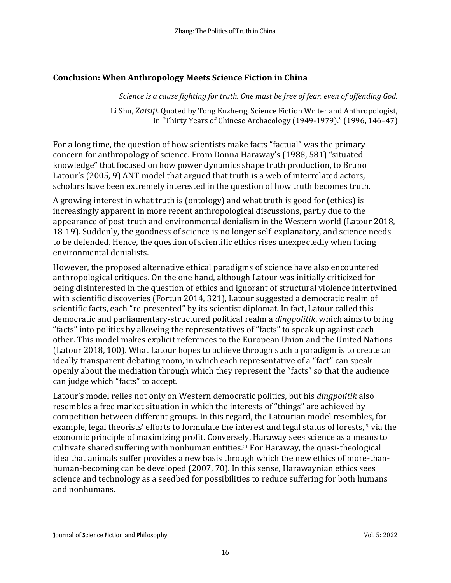#### **Conclusion: When Anthropology Meets Science Fiction in China**

*Science is a cause fighting for truth. One must be free of fear, even of offending God.*

Li Shu, *Zaisiji.* Quoted by Tong Enzheng, Science Fiction Writer and Anthropologist, in "Thirty Years of Chinese Archaeology (1949-1979)." (1996, 146–47)

For a long time, the question of how scientists make facts "factual" was the primary concern for anthropology of science. From Donna Haraway's (1988, 581) "situated knowledge" that focused on how power dynamics shape truth production, to Bruno Latour's (2005, 9) ANT model that argued that truth is a web of interrelated actors, scholars have been extremely interested in the question of how truth becomes truth.

A growing interest in what truth is (ontology) and what truth is good for (ethics) is increasingly apparent in more recent anthropological discussions, partly due to the appearance of post-truth and environmental denialism in the Western world (Latour 2018, 18-19). Suddenly, the goodness of science is no longer self-explanatory, and science needs to be defended. Hence, the question of scientific ethics rises unexpectedly when facing environmental denialists.

However, the proposed alternative ethical paradigms of science have also encountered anthropological critiques. On the one hand, although Latour was initially criticized for being disinterested in the question of ethics and ignorant of structural violence intertwined with scientific discoveries (Fortun 2014, 321), Latour suggested a democratic realm of scientific facts, each "re-presented" by its scientist diplomat. In fact, Latour called this democratic and parliamentary-structured political realm a *dingpolitik*, which aims to bring "facts" into politics by allowing the representatives of "facts" to speak up against each other. This model makes explicit references to the European Union and the United Nations (Latour 2018, 100). What Latour hopes to achieve through such a paradigm is to create an ideally transparent debating room, in which each representative of a "fact" can speak openly about the mediation through which they represent the "facts" so that the audience can judge which "facts" to accept.

Latour's model relies not only on Western democratic politics, but his *dingpolitik* also resembles a free market situation in which the interests of "things" are achieved by competition between different groups. In this regard, the Latourian model resembles, for example, legal theorists' efforts to formulate the interest and legal status of forests,<sup>20</sup> via the economic principle of maximizing profit. Conversely, Haraway sees science as a means to cultivate shared suffering with nonhuman entities.<sup>21</sup> For Haraway, the quasi-theological idea that animals suffer provides a new basis through which the new ethics of more-thanhuman-becoming can be developed (2007, 70). In this sense, Harawaynian ethics sees science and technology as a seedbed for possibilities to reduce suffering for both humans and nonhumans.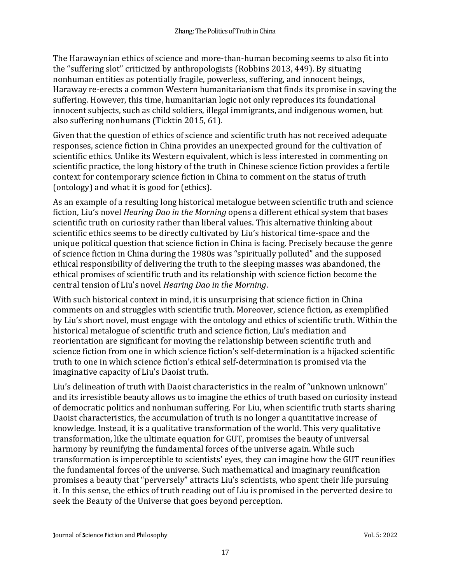The Harawaynian ethics of science and more-than-human becoming seems to also fit into the "suffering slot" criticized by anthropologists (Robbins 2013, 449). By situating nonhuman entities as potentially fragile, powerless, suffering, and innocent beings, Haraway re-erects a common Western humanitarianism that finds its promise in saving the suffering. However, this time, humanitarian logic not only reproduces its foundational innocent subjects, such as child soldiers, illegal immigrants, and indigenous women, but also suffering nonhumans (Ticktin 2015, 61).

Given that the question of ethics of science and scientific truth has not received adequate responses, science fiction in China provides an unexpected ground for the cultivation of scientific ethics. Unlike its Western equivalent, which is less interested in commenting on scientific practice, the long history of the truth in Chinese science fiction provides a fertile context for contemporary science fiction in China to comment on the status of truth (ontology) and what it is good for (ethics).

As an example of a resulting long historical metalogue between scientific truth and science fiction, Liu's novel *Hearing Dao in the Morning* opens a different ethical system that bases scientific truth on curiosity rather than liberal values. This alternative thinking about scientific ethics seems to be directly cultivated by Liu's historical time-space and the unique political question that science fiction in China is facing. Precisely because the genre of science fiction in China during the 1980s was "spiritually polluted" and the supposed ethical responsibility of delivering the truth to the sleeping masses was abandoned, the ethical promises of scientific truth and its relationship with science fiction become the central tension of Liu's novel *Hearing Dao in the Morning*.

With such historical context in mind, it is unsurprising that science fiction in China comments on and struggles with scientific truth. Moreover, science fiction, as exemplified by Liu's short novel, must engage with the ontology and ethics of scientific truth. Within the historical metalogue of scientific truth and science fiction, Liu's mediation and reorientation are significant for moving the relationship between scientific truth and science fiction from one in which science fiction's self-determination is a hijacked scientific truth to one in which science fiction's ethical self-determination is promised via the imaginative capacity of Liu's Daoist truth.

Liu's delineation of truth with Daoist characteristics in the realm of "unknown unknown" and its irresistible beauty allows us to imagine the ethics of truth based on curiosity instead of democratic politics and nonhuman suffering. For Liu, when scientific truth starts sharing Daoist characteristics, the accumulation of truth is no longer a quantitative increase of knowledge. Instead, it is a qualitative transformation of the world. This very qualitative transformation, like the ultimate equation for GUT, promises the beauty of universal harmony by reunifying the fundamental forces of the universe again. While such transformation is imperceptible to scientists' eyes, they can imagine how the GUT reunifies the fundamental forces of the universe. Such mathematical and imaginary reunification promises a beauty that "perversely" attracts Liu's scientists, who spent their life pursuing it. In this sense, the ethics of truth reading out of Liu is promised in the perverted desire to seek the Beauty of the Universe that goes beyond perception.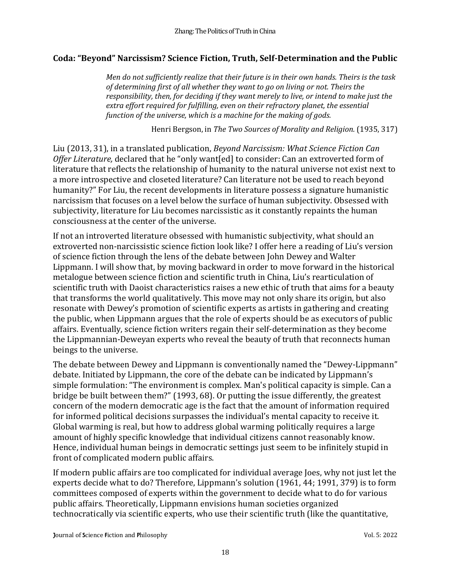## **Coda: "Beyond" Narcissism? Science Fiction, Truth, Self-Determination and the Public**

*Men do not sufficiently realize that their future is in their own hands. Theirs is the task of determining first of all whether they want to go on living or not. Theirs the responsibility, then, for deciding if they want merely to live, or intend to make just the extra effort required for fulfilling, even on their refractory planet, the essential function of the universe, which is a machine for the making of gods.*

Henri Bergson, in *The Two Sources of Morality and Religion.* (1935, 317)

Liu (2013, 31), in a translated publication, *Beyond Narcissism: What Science Fiction Can Offer Literature,* declared that he "only want[ed] to consider: Can an extroverted form of literature that reflects the relationship of humanity to the natural universe not exist next to a more introspective and closeted literature? Can literature not be used to reach beyond humanity?" For Liu, the recent developments in literature possess a signature humanistic narcissism that focuses on a level below the surface of human subjectivity. Obsessed with subjectivity, literature for Liu becomes narcissistic as it constantly repaints the human consciousness at the center of the universe.

If not an introverted literature obsessed with humanistic subjectivity, what should an extroverted non-narcissistic science fiction look like? I offer here a reading of Liu's version of science fiction through the lens of the debate between John Dewey and Walter Lippmann. I will show that, by moving backward in order to move forward in the historical metalogue between science fiction and scientific truth in China, Liu's rearticulation of scientific truth with Daoist characteristics raises a new ethic of truth that aims for a beauty that transforms the world qualitatively. This move may not only share its origin, but also resonate with Dewey's promotion of scientific experts as artists in gathering and creating the public, when Lippmann argues that the role of experts should be as executors of public affairs. Eventually, science fiction writers regain their self-determination as they become the Lippmannian-Deweyan experts who reveal the beauty of truth that reconnects human beings to the universe.

The debate between Dewey and Lippmann is conventionally named the "Dewey-Lippmann" debate. Initiated by Lippmann, the core of the debate can be indicated by Lippmann's simple formulation: "The environment is complex. Man's political capacity is simple. Can a bridge be built between them?" (1993, 68). Or putting the issue differently, the greatest concern of the modern democratic age is the fact that the amount of information required for informed political decisions surpasses the individual's mental capacity to receive it. Global warming is real, but how to address global warming politically requires a large amount of highly specific knowledge that individual citizens cannot reasonably know. Hence, individual human beings in democratic settings just seem to be infinitely stupid in front of complicated modern public affairs.

If modern public affairs are too complicated for individual average Joes, why not just let the experts decide what to do? Therefore, Lippmann's solution (1961, 44; 1991, 379) is to form committees composed of experts within the government to decide what to do for various public affairs. Theoretically, Lippmann envisions human societies organized technocratically via scientific experts, who use their scientific truth (like the quantitative,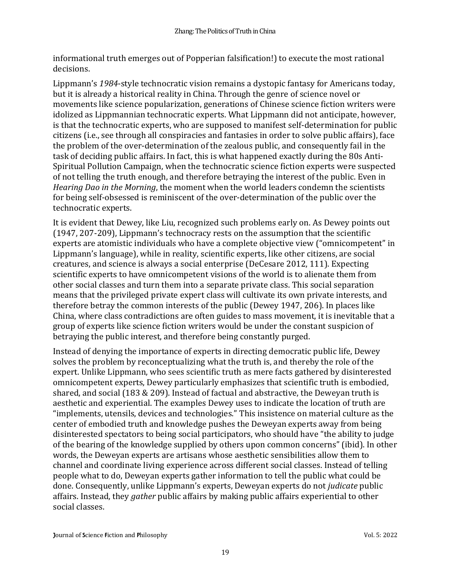informational truth emerges out of Popperian falsification!) to execute the most rational decisions.

Lippmann's *1984*-style technocratic vision remains a dystopic fantasy for Americans today, but it is already a historical reality in China. Through the genre of science novel or movements like science popularization, generations of Chinese science fiction writers were idolized as Lippmannian technocratic experts. What Lippmann did not anticipate, however, is that the technocratic experts, who are supposed to manifest self-determination for public citizens (i.e., see through all conspiracies and fantasies in order to solve public affairs), face the problem of the over-determination of the zealous public, and consequently fail in the task of deciding public affairs. In fact, this is what happened exactly during the 80s Anti-Spiritual Pollution Campaign, when the technocratic science fiction experts were suspected of not telling the truth enough, and therefore betraying the interest of the public. Even in *Hearing Dao in the Morning*, the moment when the world leaders condemn the scientists for being self-obsessed is reminiscent of the over-determination of the public over the technocratic experts.

It is evident that Dewey, like Liu, recognized such problems early on. As Dewey points out (1947, 207-209), Lippmann's technocracy rests on the assumption that the scientific experts are atomistic individuals who have a complete objective view ("omnicompetent" in Lippmann's language), while in reality, scientific experts, like other citizens, are social creatures, and science is always a social enterprise (DeCesare 2012, 111). Expecting scientific experts to have omnicompetent visions of the world is to alienate them from other social classes and turn them into a separate private class. This social separation means that the privileged private expert class will cultivate its own private interests, and therefore betray the common interests of the public (Dewey 1947, 206). In places like China, where class contradictions are often guides to mass movement, it is inevitable that a group of experts like science fiction writers would be under the constant suspicion of betraying the public interest, and therefore being constantly purged.

Instead of denying the importance of experts in directing democratic public life, Dewey solves the problem by reconceptualizing what the truth is, and thereby the role of the expert. Unlike Lippmann, who sees scientific truth as mere facts gathered by disinterested omnicompetent experts, Dewey particularly emphasizes that scientific truth is embodied, shared, and social (183 & 209). Instead of factual and abstractive, the Deweyan truth is aesthetic and experiential. The examples Dewey uses to indicate the location of truth are "implements, utensils, devices and technologies." This insistence on material culture as the center of embodied truth and knowledge pushes the Deweyan experts away from being disinterested spectators to being social participators, who should have "the ability to judge of the bearing of the knowledge supplied by others upon common concerns" (ibid). In other words, the Deweyan experts are artisans whose aesthetic sensibilities allow them to channel and coordinate living experience across different social classes. Instead of telling people what to do, Deweyan experts gather information to tell the public what could be done. Consequently, unlike Lippmann's experts, Deweyan experts do not *judicate* public affairs. Instead, they *gather* public affairs by making public affairs experiential to other social classes.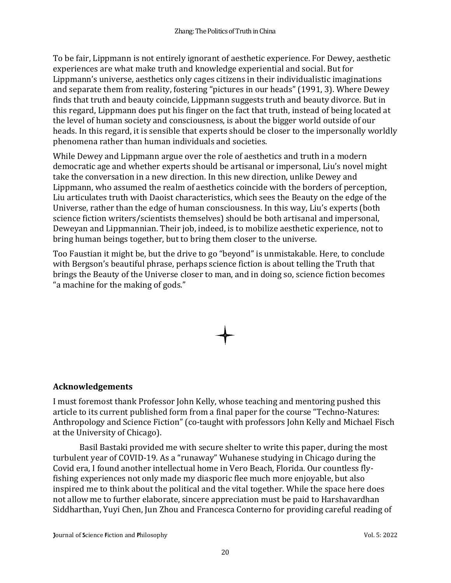To be fair, Lippmann is not entirely ignorant of aesthetic experience. For Dewey, aesthetic experiences are what make truth and knowledge experiential and social. But for Lippmann's universe, aesthetics only cages citizens in their individualistic imaginations and separate them from reality, fostering "pictures in our heads" (1991, 3). Where Dewey finds that truth and beauty coincide, Lippmann suggests truth and beauty divorce. But in this regard, Lippmann does put his finger on the fact that truth, instead of being located at the level of human society and consciousness, is about the bigger world outside of our heads. In this regard, it is sensible that experts should be closer to the impersonally worldly phenomena rather than human individuals and societies.

While Dewey and Lippmann argue over the role of aesthetics and truth in a modern democratic age and whether experts should be artisanal or impersonal, Liu's novel might take the conversation in a new direction. In this new direction, unlike Dewey and Lippmann, who assumed the realm of aesthetics coincide with the borders of perception, Liu articulates truth with Daoist characteristics, which sees the Beauty on the edge of the Universe, rather than the edge of human consciousness. In this way, Liu's experts (both science fiction writers/scientists themselves) should be both artisanal and impersonal, Deweyan and Lippmannian. Their job, indeed, is to mobilize aesthetic experience, not to bring human beings together, but to bring them closer to the universe.

Too Faustian it might be, but the drive to go "beyond" is unmistakable. Here, to conclude with Bergson's beautiful phrase, perhaps science fiction is about telling the Truth that brings the Beauty of the Universe closer to man, and in doing so, science fiction becomes "a machine for the making of gods."

# **Acknowledgements**

I must foremost thank Professor John Kelly, whose teaching and mentoring pushed this article to its current published form from a final paper for the course "Techno-Natures: Anthropology and Science Fiction" (co-taught with professors John Kelly and Michael Fisch at the University of Chicago).

Basil Bastaki provided me with secure shelter to write this paper, during the most turbulent year of COVID-19. As a "runaway" Wuhanese studying in Chicago during the Covid era, I found another intellectual home in Vero Beach, Florida. Our countless flyfishing experiences not only made my diasporic flee much more enjoyable, but also inspired me to think about the political and the vital together. While the space here does not allow me to further elaborate, sincere appreciation must be paid to Harshavardhan Siddharthan, Yuyi Chen, Jun Zhou and Francesca Conterno for providing careful reading of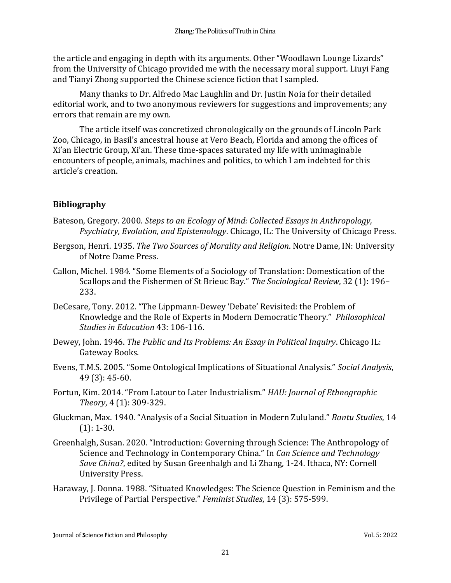the article and engaging in depth with its arguments. Other "Woodlawn Lounge Lizards" from the University of Chicago provided me with the necessary moral support. Liuyi Fang and Tianyi Zhong supported the Chinese science fiction that I sampled.

Many thanks to Dr. Alfredo Mac Laughlin and Dr. Justin Noia for their detailed editorial work, and to two anonymous reviewers for suggestions and improvements; any errors that remain are my own.

The article itself was concretized chronologically on the grounds of Lincoln Park Zoo, Chicago, in Basil's ancestral house at Vero Beach, Florida and among the offices of Xi'an Electric Group, Xi'an. These time-spaces saturated my life with unimaginable encounters of people, animals, machines and politics, to which I am indebted for this article's creation.

# **Bibliography**

- Bateson, Gregory. 2000. *Steps to an Ecology of Mind: Collected Essays in Anthropology, Psychiatry, Evolution, and Epistemology*. Chicago, IL: The University of Chicago Press.
- Bergson, Henri. 1935. *The Two Sources of Morality and Religion*. Notre Dame, IN: University of Notre Dame Press.
- Callon, Michel. 1984. "Some Elements of a Sociology of Translation: Domestication of the Scallops and the Fishermen of St Brieuc Bay." *The Sociological Review*, 32 (1): 196– 233.
- DeCesare, Tony. 2012. "The Lippmann-Dewey 'Debate' Revisited: the Problem of Knowledge and the Role of Experts in Modern Democratic Theory." *Philosophical Studies in Education* 43: 106-116.
- Dewey, John. 1946. *The Public and Its Problems: An Essay in Political Inquiry*. Chicago IL: Gateway Books.
- Evens, T.M.S. 2005. "Some Ontological Implications of Situational Analysis." *Social Analysis*, 49 (3): 45-60.
- Fortun, Kim. 2014. "From Latour to Later Industrialism." *HAU: Journal of Ethnographic Theory*, 4 (1): 309-329.
- Gluckman, Max. 1940. "Analysis of a Social Situation in Modern Zululand." *Bantu Studies*, 14  $(1): 1-30.$
- Greenhalgh, Susan. 2020. "Introduction: Governing through Science: The Anthropology of Science and Technology in Contemporary China." In *Can Science and Technology Save China?*, edited by Susan Greenhalgh and Li Zhang, 1-24. Ithaca, NY: Cornell University Press.
- Haraway, J. Donna. 1988. "Situated Knowledges: The Science Question in Feminism and the Privilege of Partial Perspective." *Feminist Studies*, 14 (3): 575-599.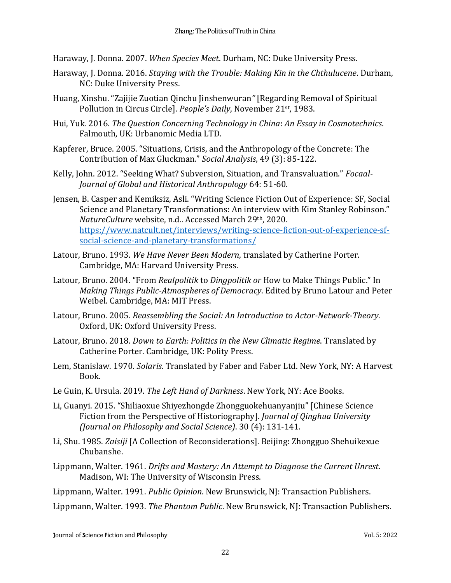Haraway, J. Donna. 2007. *When Species Meet*. Durham, NC: Duke University Press.

- Haraway, J. Donna. 2016. *Staying with the Trouble: Making Kin in the Chthulucene*. Durham, NC: Duke University Press.
- Huang, Xinshu. "Zajijie Zuotian Qinchu Jinshenwuran*"* [Regarding Removal of Spiritual Pollution in Circus Circle]. *People's Daily*, November 21st, 1983.
- Hui, Yuk. 2016. *The Question Concerning Technology in China*: *An Essay in Cosmotechnics*. Falmouth, UK: Urbanomic Media LTD.
- Kapferer, Bruce. 2005. "Situations, Crisis, and the Anthropology of the Concrete: The Contribution of Max Gluckman." *Social Analysis*, 49 (3): 85-122.
- Kelly, John. 2012. "Seeking What? Subversion, Situation, and Transvaluation." *Focaal-Journal of Global and Historical Anthropology* 64: 51-60.
- Jensen, B. Casper and Kemiksiz, Asli. "Writing Science Fiction Out of Experience: SF, Social Science and Planetary Transformations: An interview with Kim Stanley Robinson." *NatureCulture* website, n.d.. Accessed March 29th, 2020. [https://www.natcult.net/interviews/writing-science-fiction-out-of-experience-sf](https://www.natcult.net/interviews/writing-science-fiction-out-of-experience-sf-social-science-and-planetary-transformations/)[social-science-and-planetary-transformations/](https://www.natcult.net/interviews/writing-science-fiction-out-of-experience-sf-social-science-and-planetary-transformations/)
- Latour, Bruno. 1993. *We Have Never Been Modern*, translated by Catherine Porter. Cambridge, MA: Harvard University Press.
- Latour, Bruno. 2004. "From *Realpolitik* to *Dingpolitik or* How to Make Things Public." In *Making Things Public-Atmospheres of Democracy*. Edited by Bruno Latour and Peter Weibel. Cambridge, MA: MIT Press.
- Latour, Bruno. 2005. *Reassembling the Social: An Introduction to Actor-Network-Theory*. Oxford, UK: Oxford University Press.
- Latour, Bruno. 2018. *Down to Earth: Politics in the New Climatic Regime*. Translated by Catherine Porter. Cambridge, UK: Polity Press.
- Lem, Stanislaw. 1970. *Solaris*. Translated by Faber and Faber Ltd. New York, NY: A Harvest Book.
- Le Guin, K. Ursula. 2019. *The Left Hand of Darkness*. New York, NY: Ace Books.
- Li, Guanyi. 2015. "Shiliaoxue Shiyezhongde Zhongguokehuanyanjiu" [Chinese Science Fiction from the Perspective of Historiography]. *Journal of Qinghua University (Journal on Philosophy and Social Science)*. 30 (4): 131-141.
- Li, Shu. 1985. *Zaisiji* [A Collection of Reconsiderations]. Beijing: Zhongguo Shehuikexue Chubanshe.
- Lippmann, Walter. 1961. *Drifts and Mastery: An Attempt to Diagnose the Current Unrest*. Madison, WI: The University of Wisconsin Press.
- Lippmann, Walter. 1991. *Public Opinion*. New Brunswick, NJ: Transaction Publishers.
- Lippmann, Walter. 1993. *The Phantom Public*. New Brunswick, NJ: Transaction Publishers.

**Journal of Science Fiction and Philosophy Community Community Community Community Community Community Community Community Community Community Community Community Community Community Community Community Community Community**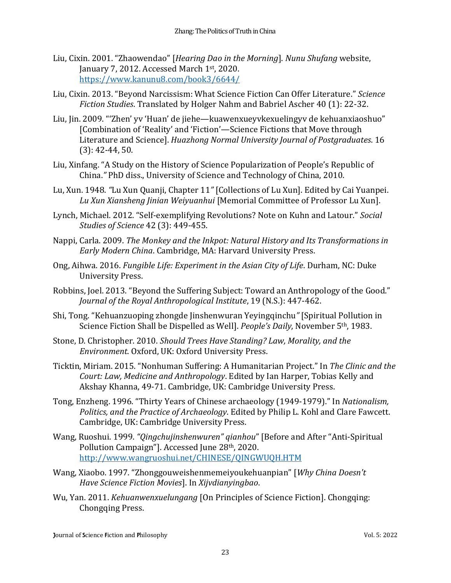- Liu, Cixin. 2001. "Zhaowendao" [*Hearing Dao in the Morning*]. *Nunu Shufang* website, January 7, 2012. Accessed March 1st, 2020. <https://www.kanunu8.com/book3/6644/>
- Liu, Cixin. 2013. "Beyond Narcissism: What Science Fiction Can Offer Literature." *Science Fiction Studies*. Translated by Holger Nahm and Babriel Ascher 40 (1): 22-32.
- Liu, Jin. 2009. "'Zhen' yv 'Huan' de jiehe—kuawenxueyvkexuelingyv de kehuanxiaoshuo" [Combination of 'Reality' and 'Fiction'—Science Fictions that Move through Literature and Science]. *Huazhong Normal University Journal of Postgraduates*. 16 (3): 42-44, 50.
- Liu, Xinfang. "A Study on the History of Science Popularization of People's Republic of China.*"* PhD diss., University of Science and Technology of China, 2010.
- Lu, Xun. 1948. *"*Lu Xun Quanji, Chapter 11*"* [Collections of Lu Xun]. Edited by Cai Yuanpei. *Lu Xun Xiansheng Jinian Weiyuanhui* [Memorial Committee of Professor Lu Xun].
- Lynch, Michael. 2012. "Self-exemplifying Revolutions? Note on Kuhn and Latour." *Social Studies of Science* 42 (3): 449-455.
- Nappi, Carla. 2009. *The Monkey and the Inkpot: Natural History and Its Transformations in Early Modern China*. Cambridge, MA: Harvard University Press.
- Ong, Aihwa. 2016. *Fungible Life: Experiment in the Asian City of Life*. Durham, NC: Duke University Press.
- Robbins, Joel. 2013. "Beyond the Suffering Subject: Toward an Anthropology of the Good." *Journal of the Royal Anthropological Institute*, 19 (N.S.): 447-462.
- Shi, Tong. "Kehuanzuoping zhongde Jinshenwuran Yeyingqinchu*"* [Spiritual Pollution in Science Fiction Shall be Dispelled as Well]. *People's Daily*, November 5th, 1983.
- Stone, D. Christopher. 2010. *Should Trees Have Standing? Law, Morality, and the Environment*. Oxford, UK: Oxford University Press.
- Ticktin, Miriam. 2015. "Nonhuman Suffering: A Humanitarian Project." In *The Clinic and the Court: Law, Medicine and Anthropology*. Edited by Ian Harper, Tobias Kelly and Akshay Khanna, 49-71. Cambridge, UK: Cambridge University Press.
- Tong, Enzheng. 1996. "Thirty Years of Chinese archaeology (1949-1979)." In *Nationalism, Politics, and the Practice of Archaeology*. Edited by Philip L. Kohl and Clare Fawcett. Cambridge, UK: Cambridge University Press.
- Wang, Ruoshui. 1999. *"Qingchujinshenwuren" qianhou*" [Before and After "Anti-Spiritual Pollution Campaign"]. Accessed June 28th, 2020. <http://www.wangruoshui.net/CHINESE/QINGWUQH.HTM>
- Wang, Xiaobo. 1997. "Zhonggouweishenmemeiyoukehuanpian" [*Why China Doesn't Have Science Fiction Movies*]. In *Xijvdianyingbao*.
- Wu, Yan. 2011. *Kehuanwenxuelungang* [On Principles of Science Fiction]. Chongqing: Chongqing Press.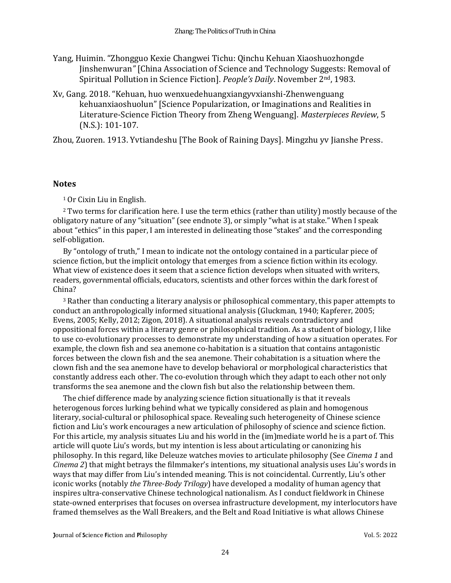- Yang, Huimin. "Zhongguo Kexie Changwei Tichu: Qinchu Kehuan Xiaoshuozhongde Jinshenwuran*"* [China Association of Science and Technology Suggests: Removal of Spiritual Pollution in Science Fiction]. *People's Daily*. November 2nd, 1983.
- Xv, Gang. 2018. "Kehuan, huo wenxuedehuangxiangyvxianshi-Zhenwenguang kehuanxiaoshuolun" [Science Popularization, or Imaginations and Realities in Literature-Science Fiction Theory from Zheng Wenguang]. *Masterpieces Review*, 5 (N.S.): 101-107.

Zhou, Zuoren. 1913. Yvtiandeshu [The Book of Raining Days]. Mingzhu yv Jianshe Press.

#### **Notes**

<sup>1</sup> Or Cixin Liu in English.

<sup>2</sup> Two terms for clarification here. I use the term ethics (rather than utility) mostly because of the obligatory nature of any "situation" (see endnote 3), or simply "what is at stake." When I speak about "ethics" in this paper, I am interested in delineating those "stakes" and the corresponding self-obligation.

By "ontology of truth," I mean to indicate not the ontology contained in a particular piece of science fiction, but the implicit ontology that emerges from a science fiction within its ecology. What view of existence does it seem that a science fiction develops when situated with writers, readers, governmental officials, educators, scientists and other forces within the dark forest of China?

<sup>3</sup> Rather than conducting a literary analysis or philosophical commentary, this paper attempts to conduct an anthropologically informed situational analysis (Gluckman, 1940; Kapferer, 2005; Evens, 2005; Kelly, 2012; Zigon, 2018). A situational analysis reveals contradictory and oppositional forces within a literary genre or philosophical tradition. As a student of biology, I like to use co-evolutionary processes to demonstrate my understanding of how a situation operates. For example, the clown fish and sea anemone co-habitation is a situation that contains antagonistic forces between the clown fish and the sea anemone. Their cohabitation is a situation where the clown fish and the sea anemone have to develop behavioral or morphological characteristics that constantly address each other. The co-evolution through which they adapt to each other not only transforms the sea anemone and the clown fish but also the relationship between them.

The chief difference made by analyzing science fiction situationally is that it reveals heterogenous forces lurking behind what we typically considered as plain and homogenous literary, social-cultural or philosophical space. Revealing such heterogeneity of Chinese science fiction and Liu's work encourages a new articulation of philosophy of science and science fiction. For this article, my analysis situates Liu and his world in the (im)mediate world he is a part of. This article will quote Liu's words, but my intention is less about articulating or canonizing his philosophy. In this regard, like Deleuze watches movies to articulate philosophy (See *Cinema 1* and *Cinema 2*) that might betrays the filmmaker's intentions, my situational analysis uses Liu's words in ways that may differ from Liu's intended meaning. This is not coincidental. Currently, Liu's other iconic works (notably *the Three-Body Trilogy*) have developed a modality of human agency that inspires ultra-conservative Chinese technological nationalism. As I conduct fieldwork in Chinese state-owned enterprises that focuses on oversea infrastructure development, my interlocutors have framed themselves as the Wall Breakers, and the Belt and Road Initiative is what allows Chinese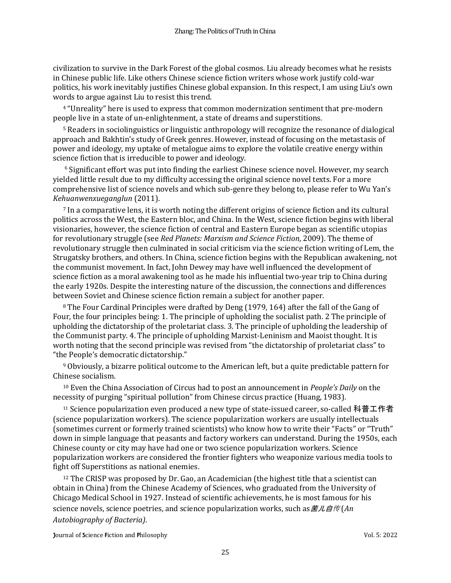civilization to survive in the Dark Forest of the global cosmos. Liu already becomes what he resists in Chinese public life. Like others Chinese science fiction writers whose work justify cold-war politics, his work inevitably justifies Chinese global expansion. In this respect, I am using Liu's own words to argue against Liu to resist this trend.

<sup>4</sup> "Unreality" here is used to express that common modernization sentiment that pre-modern people live in a state of un-enlightenment, a state of dreams and superstitions.

<sup>5</sup> Readers in sociolinguistics or linguistic anthropology will recognize the resonance of dialogical approach and Bakhtin's study of Greek genres. However, instead of focusing on the metastasis of power and ideology, my uptake of metalogue aims to explore the volatile creative energy within science fiction that is irreducible to power and ideology.

 $6$  Significant effort was put into finding the earliest Chinese science novel. However, my search yielded little result due to my difficulty accessing the original science novel texts. For a more comprehensive list of science novels and which sub-genre they belong to, please refer to Wu Yan's *Kehuanwenxueganglun* (2011).

<sup>7</sup> In a comparative lens, it is worth noting the different origins of science fiction and its cultural politics across the West, the Eastern bloc, and China. In the West, science fiction begins with liberal visionaries, however, the science fiction of central and Eastern Europe began as scientific utopias for revolutionary struggle (see *Red Planets: Marxism and Science Fiction*, 2009). The theme of revolutionary struggle then culminated in social criticism via the science fiction writing of Lem, the Strugatsky brothers, and others. In China, science fiction begins with the Republican awakening, not the communist movement. In fact, John Dewey may have well influenced the development of science fiction as a moral awakening tool as he made his influential two-year trip to China during the early 1920s. Despite the interesting nature of the discussion, the connections and differences between Soviet and Chinese science fiction remain a subject for another paper.

<sup>8</sup> The Four Cardinal Principles were drafted by Deng (1979, 164) after the fall of the Gang of Four, the four principles being: 1. The principle of upholding the socialist path. 2 The principle of upholding the dictatorship of the proletariat class. 3. The principle of upholding the leadership of the Communist party. 4. The principle of upholding Marxist-Leninism and Maoist thought. It is worth noting that the second principle was revised from "the dictatorship of proletariat class" to "the People's democratic dictatorship."

<sup>9</sup> Obviously, a bizarre political outcome to the American left, but a quite predictable pattern for Chinese socialism.

<sup>10</sup> Even the China Association of Circus had to post an announcement in *People's Daily* on the necessity of purging "spiritual pollution" from Chinese circus practice (Huang, 1983).

<sup>11</sup> Science popularization even produced a new type of state-issued career, so-called 科普工作者 (science popularization workers). The science popularization workers are usually intellectuals (sometimes current or formerly trained scientists) who know how to write their "Facts" or "Truth" down in simple language that peasants and factory workers can understand. During the 1950s, each Chinese county or city may have had one or two science popularization workers. Science popularization workers are considered the frontier fighters who weaponize various media tools to fight off Superstitions as national enemies.

<sup>12</sup> The CRISP was proposed by Dr. Gao, an Academician (the highest title that a scientist can obtain in China) from the Chinese Academy of Sciences, who graduated from the University of Chicago Medical School in 1927. Instead of scientific achievements, he is most famous for his science novels, science poetries, and science popularization works, such as *a d* <del>*f*</del> (*An d <i>f f f f f f f f f f f f f f f <i>f***</del> <b>***<i>f***</del> <b>***f Autobiography of Bacteria)*.

**Journal of Science Fiction and Philosophy Compact Science Fiction and Philosophy** Vol. 5: 2022